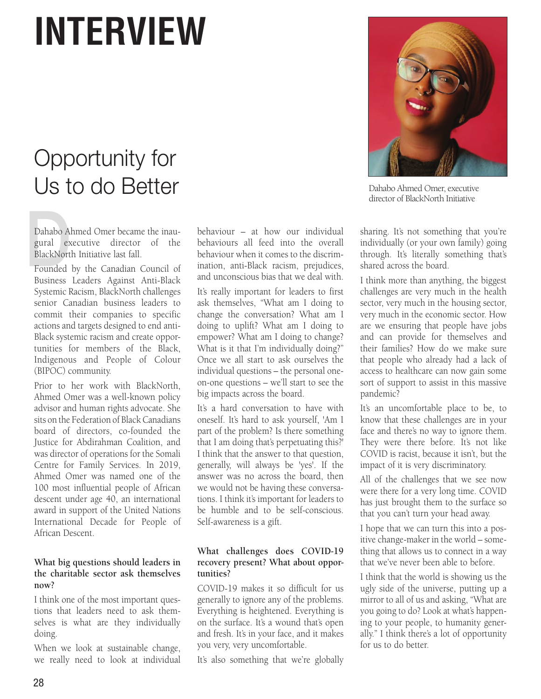# **INTERVIEW**

# Opportunity for Us to do Better

Dahabo A<br>gural ex<br>BlackNort<br>Founded Dahabo Ahmed Omer became the inaugural executive director of the BlackNorth Initiative last fall.

Founded by the Canadian Council of Business Leaders Against Anti-Black Systemic Racism, BlackNorth challenges senior Canadian business leaders to commit their companies to specific actions and targets designed to end anti-Black systemic racism and create opportunities for members of the Black, Indigenous and People of Colour (BIPOC) community.

Prior to her work with BlackNorth, Ahmed Omer was a well-known policy advisor and human rights advocate. She sits on the Federation of Black Canadians board of directors, co-founded the Justice for Abdirahman Coalition, and was director of operations for the Somali Centre for Family Services. In 2019, Ahmed Omer was named one of the 100 most influential people of African descent under age 40, an international award in support of the United Nations International Decade for People of African Descent.

# **What big questions should leaders in the charitable sector ask themselves now?**

I think one of the most important questions that leaders need to ask themselves is what are they individually doing.

When we look at sustainable change, we really need to look at individual

behaviour – at how our individual behaviours all feed into the overall behaviour when it comes to the discrimination, anti-Black racism, prejudices, and unconscious bias that we deal with.

It's really important for leaders to first ask themselves, "What am I doing to change the conversation? What am I doing to uplift? What am I doing to empower? What am I doing to change? What is it that I'm individually doing?" Once we all start to ask ourselves the individual questions – the personal oneon-one questions – we'll start to see the big impacts across the board.

It's a hard conversation to have with oneself. It's hard to ask yourself, 'Am I part of the problem? Is there something that I am doing that's perpetuating this?' I think that the answer to that question, generally, will always be 'yes'. If the answer was no across the board, then we would not be having these conversations. I think it's important for leaders to be humble and to be self-conscious. Self-awareness is a gift.

# **What challenges does COVID-19 recovery present? What about opportunities?**

COVID-19 makes it so difficult for us generally to ignore any of the problems. Everything is heightened. Everything is on the surface. It's a wound that's open and fresh. It's in your face, and it makes you very, very uncomfortable.

It's also something that we're globally



Dahabo Ahmed Omer, executive director of BlackNorth Initiative

sharing. It's not something that you're individually (or your own family) going through. It's literally something that's shared across the board.

I think more than anything, the biggest challenges are very much in the health sector, very much in the housing sector, very much in the economic sector. How are we ensuring that people have jobs and can provide for themselves and their families? How do we make sure that people who already had a lack of access to healthcare can now gain some sort of support to assist in this massive pandemic?

It's an uncomfortable place to be, to know that these challenges are in your face and there's no way to ignore them. They were there before. It's not like COVID is racist, because it isn't, but the impact of it is very discriminatory.

All of the challenges that we see now were there for a very long time. COVID has just brought them to the surface so that you can't turn your head away.

I hope that we can turn this into a positive change-maker in the world – something that allows us to connect in a way that we've never been able to before.

I think that the world is showing us the ugly side of the universe, putting up a mirror to all of us and asking, "What are you going to do? Look at what's happening to your people, to humanity generally." I think there's a lot of opportunity for us to do better.